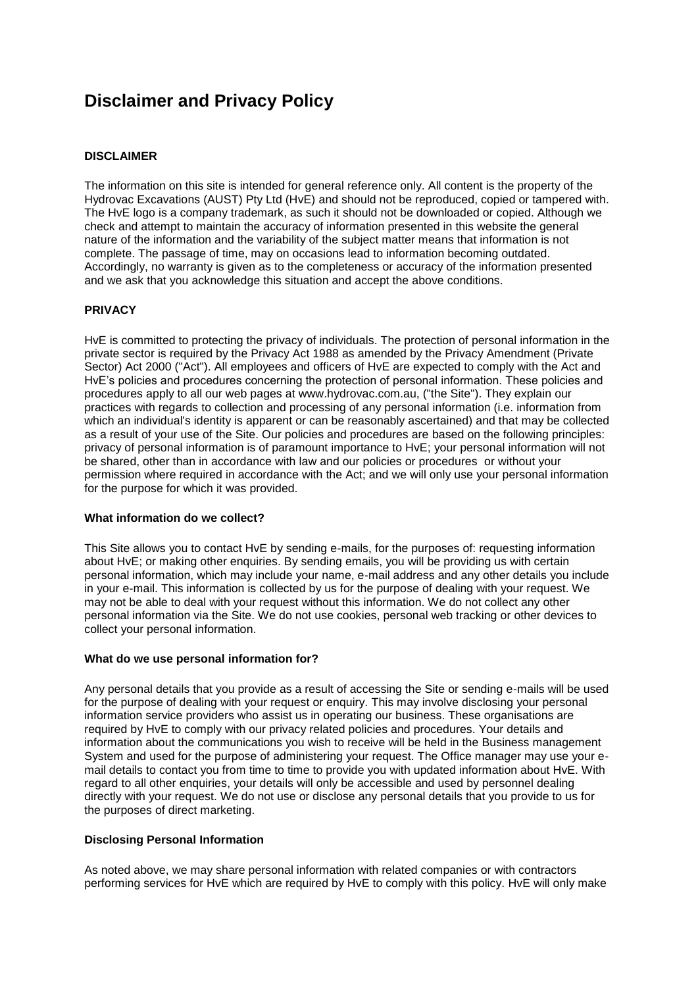# **Disclaimer and Privacy Policy**

# **DISCLAIMER**

The information on this site is intended for general reference only. All content is the property of the Hydrovac Excavations (AUST) Pty Ltd (HvE) and should not be reproduced, copied or tampered with. The HvE logo is a company trademark, as such it should not be downloaded or copied. Although we check and attempt to maintain the accuracy of information presented in this website the general nature of the information and the variability of the subject matter means that information is not complete. The passage of time, may on occasions lead to information becoming outdated. Accordingly, no warranty is given as to the completeness or accuracy of the information presented and we ask that you acknowledge this situation and accept the above conditions.

## **PRIVACY**

HvE is committed to protecting the privacy of individuals. The protection of personal information in the private sector is required by the Privacy Act 1988 as amended by the Privacy Amendment (Private Sector) Act 2000 ("Act"). All employees and officers of HvE are expected to comply with the Act and HvE's policies and procedures concerning the protection of personal information. These policies and procedures apply to all our web pages at www.hydrovac.com.au, ("the Site"). They explain our practices with regards to collection and processing of any personal information (i.e. information from which an individual's identity is apparent or can be reasonably ascertained) and that may be collected as a result of your use of the Site. Our policies and procedures are based on the following principles: privacy of personal information is of paramount importance to HvE; your personal information will not be shared, other than in accordance with law and our policies or procedures or without your permission where required in accordance with the Act; and we will only use your personal information for the purpose for which it was provided.

## **What information do we collect?**

This Site allows you to contact HvE by sending e-mails, for the purposes of: requesting information about HvE; or making other enquiries. By sending emails, you will be providing us with certain personal information, which may include your name, e-mail address and any other details you include in your e-mail. This information is collected by us for the purpose of dealing with your request. We may not be able to deal with your request without this information. We do not collect any other personal information via the Site. We do not use cookies, personal web tracking or other devices to collect your personal information.

## **What do we use personal information for?**

Any personal details that you provide as a result of accessing the Site or sending e-mails will be used for the purpose of dealing with your request or enquiry. This may involve disclosing your personal information service providers who assist us in operating our business. These organisations are required by HvE to comply with our privacy related policies and procedures. Your details and information about the communications you wish to receive will be held in the Business management System and used for the purpose of administering your request. The Office manager may use your email details to contact you from time to time to provide you with updated information about HvE. With regard to all other enquiries, your details will only be accessible and used by personnel dealing directly with your request. We do not use or disclose any personal details that you provide to us for the purposes of direct marketing.

# **Disclosing Personal Information**

As noted above, we may share personal information with related companies or with contractors performing services for HvE which are required by HvE to comply with this policy. HvE will only make